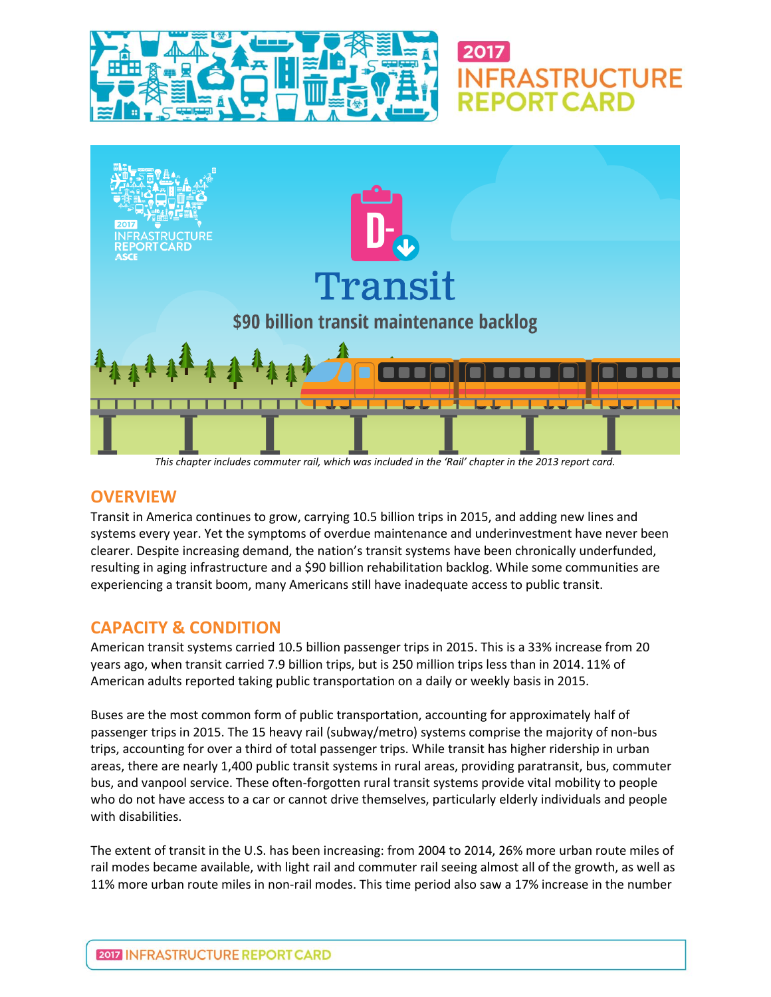



**FRASTRUCTURE** 

*This chapter includes commuter rail, which was included in the 'Rail' chapter in the 2013 report card.*

#### **OVERVIEW**

Transit in America continues to grow, carrying 10.5 billion trips in 2015, and adding new lines and systems every year. Yet the symptoms of overdue maintenance and underinvestment have never been clearer. Despite increasing demand, the nation's transit systems have been chronically underfunded, resulting in aging infrastructure and a \$90 billion rehabilitation backlog. While some communities are experiencing a transit boom, many Americans still have inadequate access to public transit.

# **CAPACITY & CONDITION**

American transit systems carried 10.5 billion passenger trips in 2015. This is a 33% increase from 20 years ago, when transit carried 7.9 billion trips, but is 250 million trips less than in 2014. 11% of American adults reported taking public transportation on a daily or weekly basis in 2015.

Buses are the most common form of public transportation, accounting for approximately half of passenger trips in 2015. The 15 heavy rail (subway/metro) systems comprise the majority of non-bus trips, accounting for over a third of total passenger trips. While transit has higher ridership in urban areas, there are nearly 1,400 public transit systems in rural areas, providing paratransit, bus, commuter bus, and vanpool service. These often-forgotten rural transit systems provide vital mobility to people who do not have access to a car or cannot drive themselves, particularly elderly individuals and people with disabilities.

The extent of transit in the U.S. has been increasing: from 2004 to 2014, 26% more urban route miles of rail modes became available, with light rail and commuter rail seeing almost all of the growth, as well as 11% more urban route miles in non-rail modes. This time period also saw a 17% increase in the number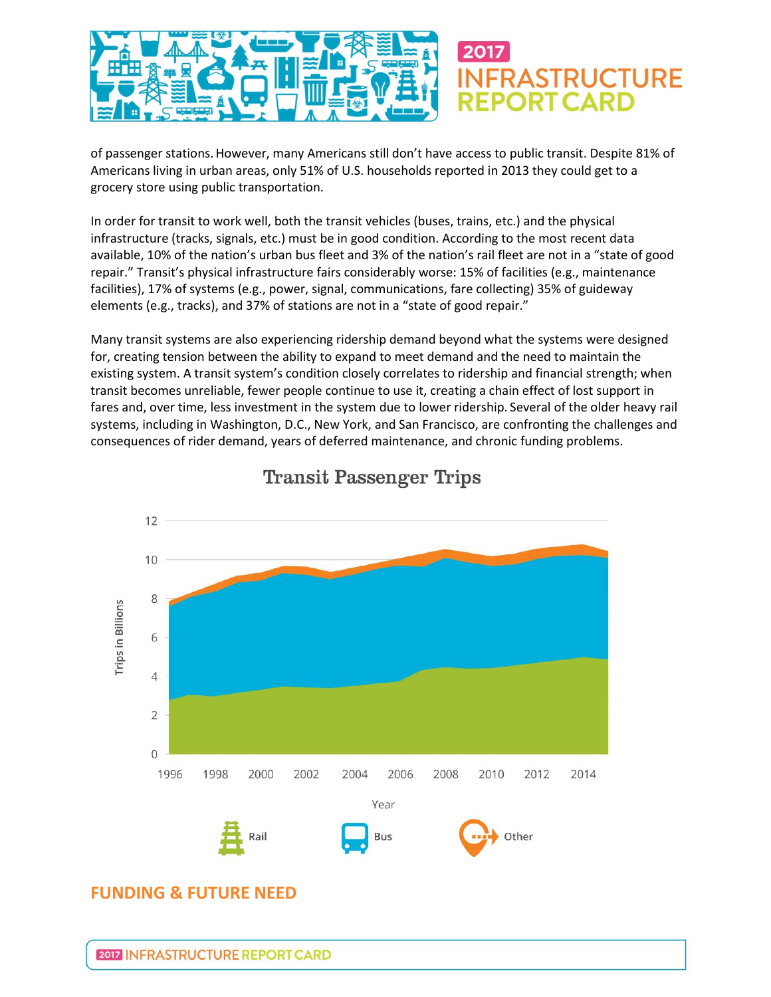

of passenger stations.However, many Americans still don't have access to public transit. Despite 81% of Americans living in urban areas, only 51% of U.S. households reported in 2013 they could get to a grocery store using public transportation.

In order for transit to work well, both the transit vehicles (buses, trains, etc.) and the physical infrastructure (tracks, signals, etc.) must be in good condition. According to the most recent data available, 10% of the nation's urban bus fleet and 3% of the nation's rail fleet are not in a "state of good repair." Transit's physical infrastructure fairs considerably worse: 15% of facilities (e.g., maintenance facilities), 17% of systems (e.g., power, signal, communications, fare collecting) 35% of guideway elements (e.g., tracks), and 37% of stations are not in a "state of good repair."

Many transit systems are also experiencing ridership demand beyond what the systems were designed for, creating tension between the ability to expand to meet demand and the need to maintain the existing system. A transit system's condition closely correlates to ridership and financial strength; when transit becomes unreliable, fewer people continue to use it, creating a chain effect of lost support in fares and, over time, less investment in the system due to lower ridership. Several of the older heavy rail systems, including in Washington, D.C., New York, and San Francisco, are confronting the challenges and consequences of rider demand, years of deferred maintenance, and chronic funding problems.



**Transit Passenger Trips** 

# **FUNDING & FUTURE NEED**

2017 INFRASTRUCTURE REPORT CARD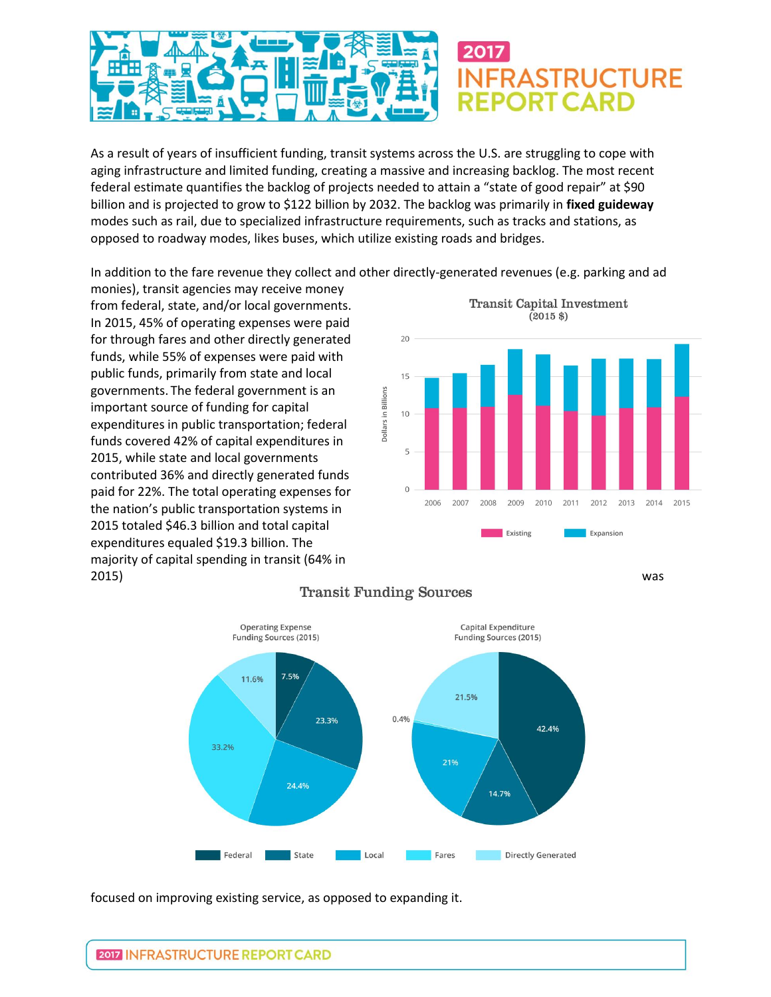

As a result of years of insufficient funding, transit systems across the U.S. are struggling to cope with aging infrastructure and limited funding, creating a massive and increasing backlog. The most recent federal estimate quantifies the backlog of projects needed to attain a "state of good repair" at \$90 billion and is projected to grow to \$122 billion by 2032. The backlog was primarily in **fixed guideway** modes such as rail, due to specialized infrastructure requirements, such as tracks and stations, as opposed to roadway modes, likes buses, which utilize existing roads and bridges.

In addition to the fare revenue they collect and other directly-generated revenues (e.g. parking and ad

monies), transit agencies may receive money from federal, state, and/or local governments. In 2015, 45% of operating expenses were paid for through fares and other directly generated funds, while 55% of expenses were paid with public funds, primarily from state and local governments. The federal government is an important source of funding for capital expenditures in public transportation; federal funds covered 42% of capital expenditures in 2015, while state and local governments contributed 36% and directly generated funds paid for 22%. The total operating expenses for the nation's public transportation systems in 2015 totaled \$46.3 billion and total capital expenditures equaled \$19.3 billion. The majority of capital spending in transit (64% in 2015) was





#### **Transit Funding Sources**

focused on improving existing service, as opposed to expanding it.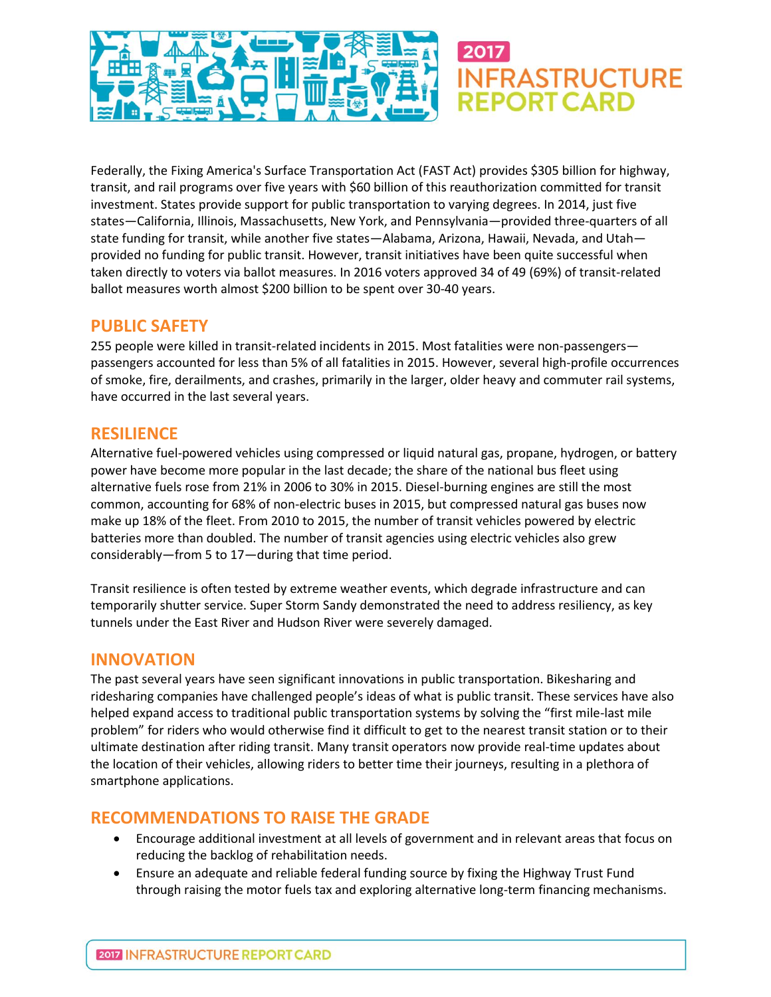

Federally, the Fixing America's Surface Transportation Act (FAST Act) provides \$305 billion for highway, transit, and rail programs over five years with \$60 billion of this reauthorization committed for transit investment. States provide support for public transportation to varying degrees. In 2014, just five states—California, Illinois, Massachusetts, New York, and Pennsylvania—provided three-quarters of all state funding for transit, while another five states—Alabama, Arizona, Hawaii, Nevada, and Utah provided no funding for public transit. However, transit initiatives have been quite successful when taken directly to voters via ballot measures. In 2016 voters approved 34 of 49 (69%) of transit-related ballot measures worth almost \$200 billion to be spent over 30-40 years.

## **PUBLIC SAFETY**

255 people were killed in transit-related incidents in 2015. Most fatalities were non-passengers passengers accounted for less than 5% of all fatalities in 2015. However, several high-profile occurrences of smoke, fire, derailments, and crashes, primarily in the larger, older heavy and commuter rail systems, have occurred in the last several years.

## **RESILIENCE**

Alternative fuel-powered vehicles using compressed or liquid natural gas, propane, hydrogen, or battery power have become more popular in the last decade; the share of the national bus fleet using alternative fuels rose from 21% in 2006 to 30% in 2015. Diesel-burning engines are still the most common, accounting for 68% of non-electric buses in 2015, but compressed natural gas buses now make up 18% of the fleet. From 2010 to 2015, the number of transit vehicles powered by electric batteries more than doubled. The number of transit agencies using electric vehicles also grew considerably—from 5 to 17—during that time period.

Transit resilience is often tested by extreme weather events, which degrade infrastructure and can temporarily shutter service. Super Storm Sandy demonstrated the need to address resiliency, as key tunnels under the East River and Hudson River were severely damaged.

# **INNOVATION**

The past several years have seen significant innovations in public transportation. Bikesharing and ridesharing companies have challenged people's ideas of what is public transit. These services have also helped expand access to traditional public transportation systems by solving the "first mile-last mile problem" for riders who would otherwise find it difficult to get to the nearest transit station or to their ultimate destination after riding transit. Many transit operators now provide real-time updates about the location of their vehicles, allowing riders to better time their journeys, resulting in a plethora of smartphone applications.

# **RECOMMENDATIONS TO RAISE THE GRADE**

- Encourage additional investment at all levels of government and in relevant areas that focus on reducing the backlog of rehabilitation needs.
- Ensure an adequate and reliable federal funding source by fixing the Highway Trust Fund through raising the motor fuels tax and exploring alternative long-term financing mechanisms.